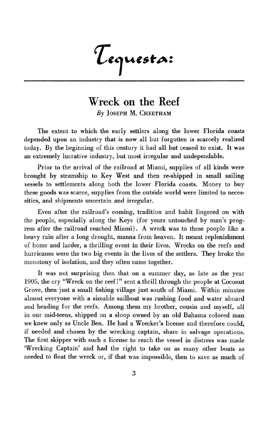Tequesta:

## **Wreck on the Reef** *By* **JOSEPH** M. **CHEETHAM**

The extent to which the early settlers along the lower Florida coasts depended upon an industry that is now all but forgotten is scarcely realized today. **By** the beginning of this century **it** had all but ceased to exist. It was an extremely lucrative industry, but most irregular and undependable.

Prior to the arrival of the railroad at Miami, supplies of all kinds were brought by steamship to Key West and then re-shipped in small sailing vessels to settlements along both the lower Florida coasts. Money to buy these goods was scarce, supplies from the outside world were limited to necessities, and shipments uncertain and irregular.

Even after the railroad's coming, tradition and habit lingered on with the people, especially along the Keys (for years untouched by man's progress after the railroad reached Miami). **A** wreck was to these people like a heavy rain after a long drought, manna from heaven. It meant replenishment of home and larder, a thrilling event in their lives. Wrecks on the reefs and hurricanes were the two big events in the lives of the settlers. They broke the monotony of isolation, and they often came together.

It was not surprising then that on a summer day, as late as the year **1905,** the cry "Wreck on the reef!" sent a thrill through the people at Coconut Grove, then just a small fishing village just south of Miami. Within minutes almost everyone with a sizeable sailboat was rushing food and water aboard and heading for the reefs. Among them my brother, cousin and myself, all in our mid-teens, shipped on a sloop owned by an old Bahama colored man we knew only as Uncle Ben. He had a Wrecker's license and therefore could, if needed and chosen **by** the wrecking captain, share in salvage operations. The first skipper with such a license to reach the vessel in distress was made 'Wrecking Captain' and had the right to take on as many other boats as needed to float the wreck or, if that was impossible, then to save as much of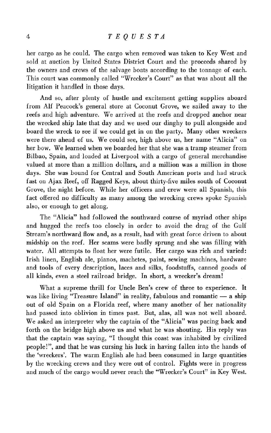## *4 TEQUESTA*

her cargo as he could. The cargo when removed was taken to Key West and sold at auction by United States District Court and the proceeds shared by the owners and crews of the salvage boats according to the tonnage of each. This court was commonly called "Wrecker's Court" as that was about all the litigation it handled in those days.

And so, after plenty of hustle and excitement getting supplies aboard from Alf Peacock's general store at Coconut Grove, we sailed away to the reefs and high adventure. We arrived at the reefs and dropped anchor near the wrecked ship late that day and we used our dinghy to pull alongside and board the wreck to see if we could get in on the party. Many other wreckers were there ahead of us. We could see, high above us, her name "Alicia" on her bow. We learned when we boarded her that she was a tramp steamer from Bilbao, Spain, and loaded at Liverpool with a cargo of general merchandise valued at more than a million dollars, and a million was a million in those days. She was bound for Central and South American ports and had struck fast on Ajax Reef, off Ragged Keys, about thirty-five miles south of Coconut Grove, the night before. While her officers and crew were all Spanish, this fact offered no difficulty as many among the wrecking crews spoke Spanish also, or enough to get along.

The "Alicia" had followed the southward course of myriad other ships and hugged the reefs too closely in order to avoid the drag of the Gulf Stream's northward flow and, as a result, had with great force driven to about midship on the reef. Her seams were badly sprung and she was filling with water. All attempts to float her were futile. Her cargo was rich and varied: Irish linen, English ale, pianos, machetes, paint, sewing machines, hardware and tools of every description, laces and silks, foodstuffs, canned goods of all kinds, even a steel railroad bridge. In short, a wrecker's dream!

What a supreme thrill for Uncle Ben's crew of three to experience. It was like living "Treasure Island" in reality, fabulous and romantic - a ship out of old Spain on a Florida reef, where many another of her nationality had passed into oblivion in times past. But, alas, all was not well aboard. We asked an interpreter why the captain of the "Alicia" was pacing back and forth on the bridge high above us and what he was shouting. His reply was that the captain was saying, "I thought this coast was inhabited by civilized people!", and that he was cursing his luck in having fallen into the hands of the 'wreckers'. The warm English ale had been consumed in large quantities by the wrecking crews and they were out of control. Fights were in progress and much of the cargo would never reach the "Wrecker's Court" in Key West.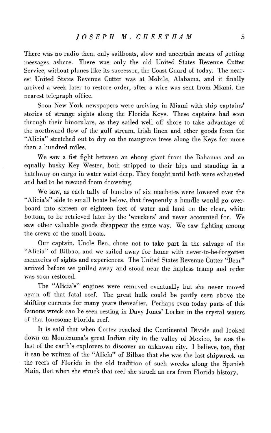There was no radio then, only sailboats, slow and uncertain means of getting messages ashore. There was only the old United States Revenue Cutter Service, without planes like its successor, the Coast Guard of today. The nearest United States Revenue Cutter was at Mobile, Alabama, and it finally arrived a week later to restore order, after a wire was sent from Miami, the nearest telegraph office.

Soon New York newspapers were arriving in Miami with ship captains' stories of strange sights along the Florida Keys. These captains had seen through their binoculars, as they sailed well off shore to take advantage of the northward flow of the gulf stream, Irish linen and other goods from the "Alicia" stretched out to dry on the mangrove trees along the Keys for more than a hundred miles.

We saw a fist fight between an ebony giant from the Bahamas and an equally husky Key Wester, both stripped to their hips and standing in a hatchway on cargo in water waist deep. They fought until both were exhausted and had to be rescued from drowning.

We saw, as each tally of bundles of six machetes were lowered over the "Alicia's" side to small boats below, that frequently a bundle would go overboard into sixteen or eighteen feet of water and land on the clear, white bottom, to be retrieved later by the 'wreckers' and never accounted for. We saw other valuable goods disappear the same way. We saw fighting among the crews of the small boats.

Our captain, Uncle Ben, chose not to take part in the salvage of the "Alicia" of Bilbao, and we sailed away for home with never-to-be-forgotten memories of sights and experiences. The United States Revenue Cutter "Bear" arrived before we pulled away and stood near the hapless tramp and order was soon restored.

The "Alicia's" engines were removed eventually but she never moved again off that fatal reef. The great hulk could be partly seen above the shifting currents for many years thereafter. Perhaps even today parts of this famous wreck can be seen resting in Davy Jones' Locker in the crystal waters of that lonesome Florida reef.

It is said that when Cortez reached the Continental Divide and looked down on Montezuma's great Indian city in the valley of Mexico, he was the last of the earth's explorers to discover an unknown city. I believe, too, that it can be written of the "Alicia" of Bilbao that she was the last shipwreck on the reefs of Florida in the old tradition of such wrecks along the Spanish Main, that when she struck that reef she struck an era from Florida history.